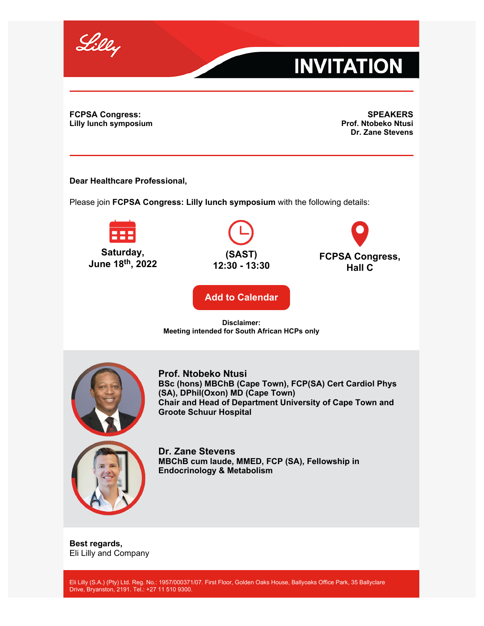

## **INVITATION**

**FCPSA Congress: Lilly lunch symposium**

**SPEAKERS Prof. Ntobeko Ntusi Dr. Zane Stevens**

**Dear Healthcare Professional,**

Please join **FCPSA Congress: Lilly lunch symposium** with the following details:



**(SAST) 12:30 - 13:30**



**[Add to Calendar](https://image.mc.lilly.com/lib/fe9812747766057a74/m/2/1af79f46-d7d8-41e6-bf0e-90aaf33f335d.ics)**

## **Disclaimer: Meeting intended for South African HCPs only**



**Prof. Ntobeko Ntusi BSc (hons) MBChB (Cape Town), FCP(SA) Cert Cardiol Phys (SA), DPhil(Oxon) MD (Cape Town) Chair and Head of Department University of Cape Town and Groote Schuur Hospital**



**Dr. Zane Stevens MBChB cum laude, MMED, FCP (SA), Fellowship in Endocrinology & Metabolism**

**Best regards,** Eli Lilly and Company

Eli Lilly (S.A.) (Pty) Ltd. Reg. No.: 1957/000371/07. First Floor, Golden Oaks House, Ballyoaks Office Park, 35 Ballyclare Drive, Bryanston, 2191. Tel.: +27 11 510 9300.